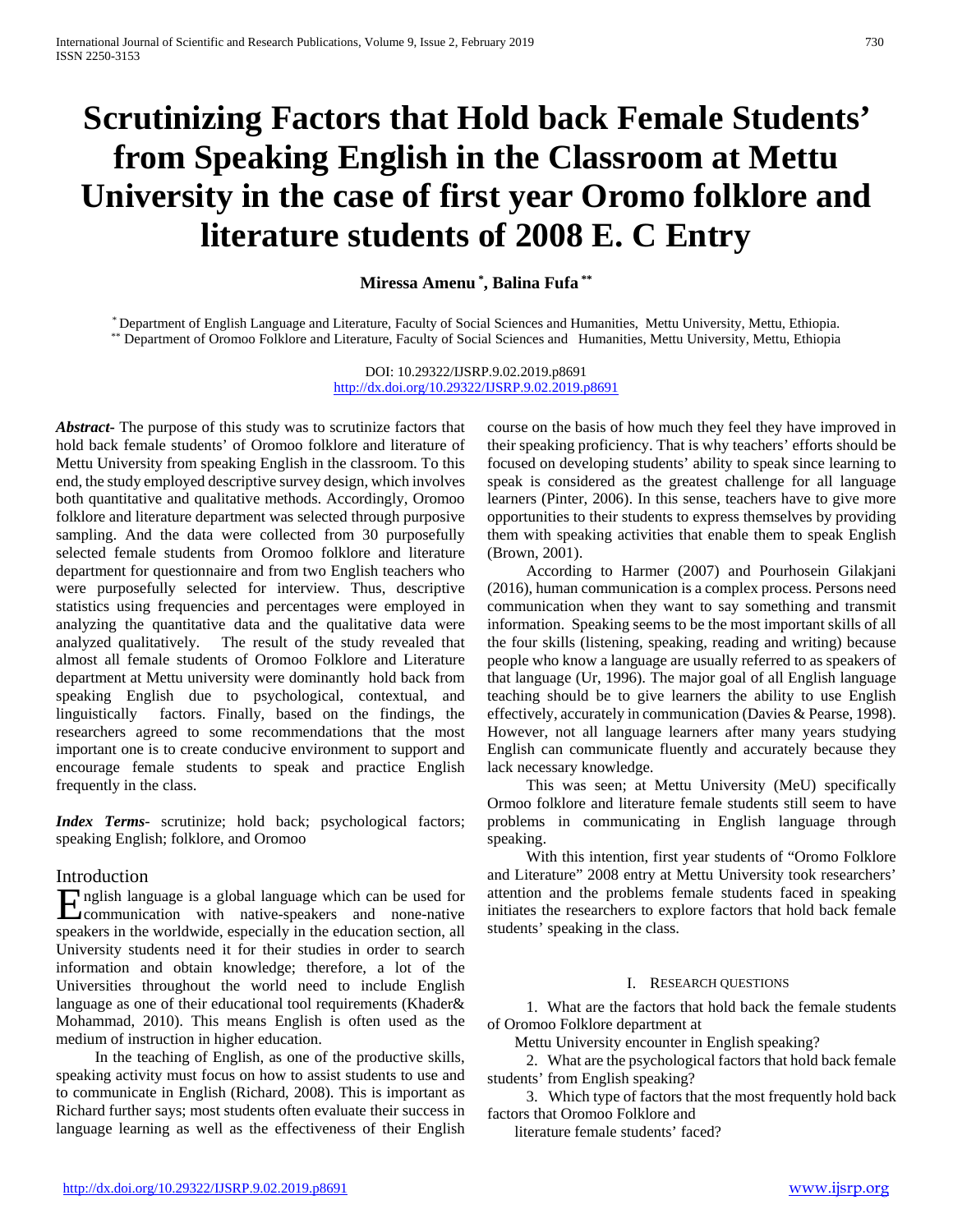# **Scrutinizing Factors that Hold back Female Students' from Speaking English in the Classroom at Mettu University in the case of first year Oromo folklore and literature students of 2008 E. C Entry**

**Miressa Amenu \* , Balina Fufa \*\***

\* Department of English Language and Literature, Faculty of Social Sciences and Humanities, Mettu University, Mettu, Ethiopia.<br>\*\* Department of Oromoo Folklore and Literature, Faculty of Social Sciences and Humanities, Met

DOI: 10.29322/IJSRP.9.02.2019.p8691 <http://dx.doi.org/10.29322/IJSRP.9.02.2019.p8691>

*Abstract***-** The purpose of this study was to scrutinize factors that hold back female students' of Oromoo folklore and literature of Mettu University from speaking English in the classroom. To this end, the study employed descriptive survey design, which involves both quantitative and qualitative methods. Accordingly, Oromoo folklore and literature department was selected through purposive sampling. And the data were collected from 30 purposefully selected female students from Oromoo folklore and literature department for questionnaire and from two English teachers who were purposefully selected for interview. Thus, descriptive statistics using frequencies and percentages were employed in analyzing the quantitative data and the qualitative data were analyzed qualitatively. The result of the study revealed that almost all female students of Oromoo Folklore and Literature department at Mettu university were dominantly hold back from speaking English due to psychological, contextual, and linguistically factors. Finally, based on the findings, the researchers agreed to some recommendations that the most important one is to create conducive environment to support and encourage female students to speak and practice English frequently in the class.

*Index Terms*- scrutinize; hold back; psychological factors; speaking English; folklore, and Oromoo

# Introduction

nglish language is a global language which can be used for **E**nglish language is a global language which can be used for<br>
communication with native-speakers and none-native<br>
communication with native-speakers and none-native speakers in the worldwide, especially in the education section, all University students need it for their studies in order to search information and obtain knowledge; therefore, a lot of the Universities throughout the world need to include English language as one of their educational tool requirements (Khader& Mohammad, 2010). This means English is often used as the medium of instruction in higher education.

 In the teaching of English, as one of the productive skills, speaking activity must focus on how to assist students to use and to communicate in English (Richard, 2008). This is important as Richard further says; most students often evaluate their success in language learning as well as the effectiveness of their English

course on the basis of how much they feel they have improved in their speaking proficiency. That is why teachers' efforts should be focused on developing students' ability to speak since learning to speak is considered as the greatest challenge for all language learners (Pinter, 2006). In this sense, teachers have to give more opportunities to their students to express themselves by providing them with speaking activities that enable them to speak English (Brown, 2001).

 According to Harmer (2007) and Pourhosein Gilakjani (2016), human communication is a complex process. Persons need communication when they want to say something and transmit information. Speaking seems to be the most important skills of all the four skills (listening, speaking, reading and writing) because people who know a language are usually referred to as speakers of that language (Ur, 1996). The major goal of all English language teaching should be to give learners the ability to use English effectively, accurately in communication (Davies & Pearse, 1998). However, not all language learners after many years studying English can communicate fluently and accurately because they lack necessary knowledge.

 This was seen; at Mettu University (MeU) specifically Ormoo folklore and literature female students still seem to have problems in communicating in English language through speaking.

 With this intention, first year students of "Oromo Folklore and Literature" 2008 entry at Mettu University took researchers' attention and the problems female students faced in speaking initiates the researchers to explore factors that hold back female students' speaking in the class.

#### I. RESEARCH QUESTIONS

 1. What are the factors that hold back the female students of Oromoo Folklore department at

Mettu University encounter in English speaking?

 2. What are the psychological factors that hold back female students' from English speaking?

 3. Which type of factors that the most frequently hold back factors that Oromoo Folklore and

literature female students' faced?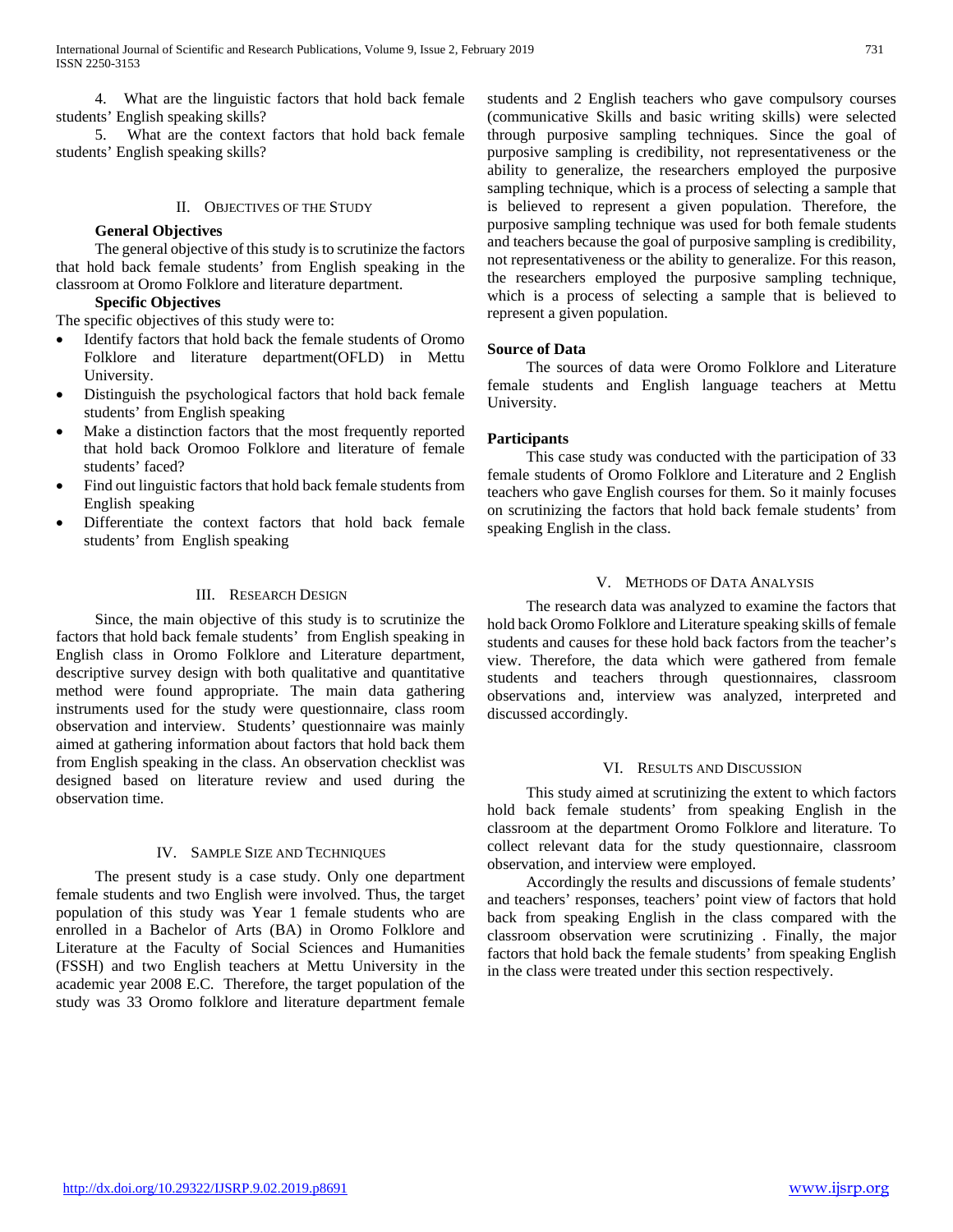4. What are the linguistic factors that hold back female students' English speaking skills?

 5. What are the context factors that hold back female students' English speaking skills?

#### II. OBJECTIVES OF THE STUDY

### **General Objectives**

 The general objective of this study is to scrutinize the factors that hold back female students' from English speaking in the classroom at Oromo Folklore and literature department.

#### **Specific Objectives**

The specific objectives of this study were to:

- Identify factors that hold back the female students of Oromo Folklore and literature department(OFLD) in Mettu University.
- Distinguish the psychological factors that hold back female students' from English speaking
- Make a distinction factors that the most frequently reported that hold back Oromoo Folklore and literature of female students' faced?
- Find out linguistic factors that hold back female students from English speaking
- Differentiate the context factors that hold back female students' from English speaking

#### III. RESEARCH DESIGN

 Since, the main objective of this study is to scrutinize the factors that hold back female students' from English speaking in English class in Oromo Folklore and Literature department, descriptive survey design with both qualitative and quantitative method were found appropriate. The main data gathering instruments used for the study were questionnaire, class room observation and interview. Students' questionnaire was mainly aimed at gathering information about factors that hold back them from English speaking in the class. An observation checklist was designed based on literature review and used during the observation time.

# IV. SAMPLE SIZE AND TECHNIQUES

 The present study is a case study. Only one department female students and two English were involved. Thus, the target population of this study was Year 1 female students who are enrolled in a Bachelor of Arts (BA) in Oromo Folklore and Literature at the Faculty of Social Sciences and Humanities (FSSH) and two English teachers at Mettu University in the academic year 2008 E.C. Therefore, the target population of the study was 33 Oromo folklore and literature department female students and 2 English teachers who gave compulsory courses (communicative Skills and basic writing skills) were selected through purposive sampling techniques. Since the goal of purposive sampling is credibility, not representativeness or the ability to generalize, the researchers employed the purposive sampling technique, which is a process of selecting a sample that is believed to represent a given population. Therefore, the purposive sampling technique was used for both female students and teachers because the goal of purposive sampling is credibility, not representativeness or the ability to generalize. For this reason, the researchers employed the purposive sampling technique, which is a process of selecting a sample that is believed to represent a given population.

#### **Source of Data**

 The sources of data were Oromo Folklore and Literature female students and English language teachers at Mettu University.

#### **Participants**

 This case study was conducted with the participation of 33 female students of Oromo Folklore and Literature and 2 English teachers who gave English courses for them. So it mainly focuses on scrutinizing the factors that hold back female students' from speaking English in the class.

# V. METHODS OF DATA ANALYSIS

 The research data was analyzed to examine the factors that hold back Oromo Folklore and Literature speaking skills of female students and causes for these hold back factors from the teacher's view. Therefore, the data which were gathered from female students and teachers through questionnaires, classroom observations and, interview was analyzed, interpreted and discussed accordingly.

#### VI. RESULTS AND DISCUSSION

 This study aimed at scrutinizing the extent to which factors hold back female students' from speaking English in the classroom at the department Oromo Folklore and literature. To collect relevant data for the study questionnaire, classroom observation, and interview were employed.

 Accordingly the results and discussions of female students' and teachers' responses, teachers' point view of factors that hold back from speaking English in the class compared with the classroom observation were scrutinizing . Finally, the major factors that hold back the female students' from speaking English in the class were treated under this section respectively.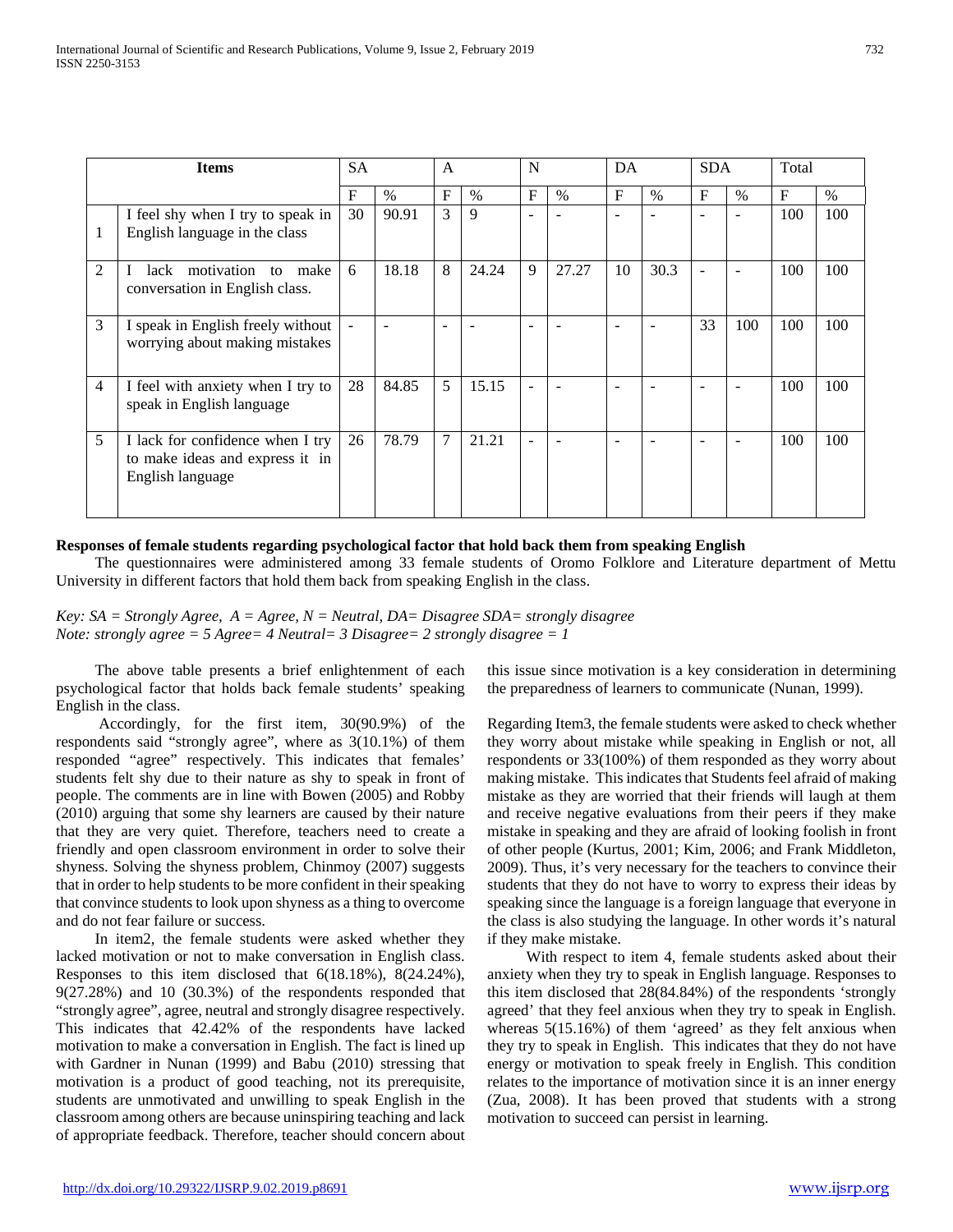| <b>Items</b>   |                                                                                         | <b>SA</b>  |               | $\mathsf{A}$   |              | N                        |       | DA                       |                          | <b>SDA</b>     |                          | Total |      |
|----------------|-----------------------------------------------------------------------------------------|------------|---------------|----------------|--------------|--------------------------|-------|--------------------------|--------------------------|----------------|--------------------------|-------|------|
|                |                                                                                         | $_{\rm F}$ | $\frac{0}{0}$ | $\mathbf F$    | $\%$         | F                        | $\%$  | F                        | $\frac{0}{0}$            | $F_{\rm}$      | $\%$                     | F     | $\%$ |
|                | I feel shy when I try to speak in<br>English language in the class                      | 30         | 90.91         | 3              | $\mathbf{Q}$ | ÷.                       |       |                          |                          |                | ÷                        | 100   | 100  |
| $\overline{c}$ | lack motivation<br>to make<br>conversation in English class.                            | 6          | 18.18         | 8              | 24.24        | 9                        | 27.27 | 10                       | 30.3                     | $\blacksquare$ | $\overline{\phantom{a}}$ | 100   | 100  |
| 3              | I speak in English freely without<br>worrying about making mistakes                     |            |               | ۰              |              | $\overline{\phantom{0}}$ |       |                          |                          | 33             | 100                      | 100   | 100  |
| 4              | I feel with anxiety when I try to<br>speak in English language                          | 28         | 84.85         | 5              | 15.15        | $\overline{\phantom{a}}$ |       | $\overline{\phantom{0}}$ | $\overline{\phantom{0}}$ |                | $\overline{\phantom{0}}$ | 100   | 100  |
| 5              | I lack for confidence when I try<br>to make ideas and express it in<br>English language | 26         | 78.79         | $\overline{7}$ | 21.21        | $\overline{\phantom{a}}$ |       | $\overline{\phantom{0}}$ |                          |                | $\overline{\phantom{0}}$ | 100   | 100  |

# **Responses of female students regarding psychological factor that hold back them from speaking English**

 The questionnaires were administered among 33 female students of Oromo Folklore and Literature department of Mettu University in different factors that hold them back from speaking English in the class.

*Key: SA = Strongly Agree, A = Agree, N = Neutral, DA= Disagree SDA= strongly disagree Note: strongly agree = 5 Agree= 4 Neutral= 3 Disagree= 2 strongly disagree = 1*

 The above table presents a brief enlightenment of each psychological factor that holds back female students' speaking English in the class.

 Accordingly, for the first item, 30(90.9%) of the respondents said "strongly agree", where as 3(10.1%) of them responded "agree" respectively. This indicates that females' students felt shy due to their nature as shy to speak in front of people. The comments are in line with Bowen (2005) and Robby (2010) arguing that some shy learners are caused by their nature that they are very quiet. Therefore, teachers need to create a friendly and open classroom environment in order to solve their shyness. Solving the shyness problem, Chinmoy (2007) suggests that in order to help students to be more confident in their speaking that convince students to look upon shyness as a thing to overcome and do not fear failure or success.

 In item2, the female students were asked whether they lacked motivation or not to make conversation in English class. Responses to this item disclosed that 6(18.18%), 8(24.24%), 9(27.28%) and 10 (30.3%) of the respondents responded that "strongly agree", agree, neutral and strongly disagree respectively. This indicates that 42.42% of the respondents have lacked motivation to make a conversation in English. The fact is lined up with Gardner in Nunan (1999) and Babu (2010) stressing that motivation is a product of good teaching, not its prerequisite, students are unmotivated and unwilling to speak English in the classroom among others are because uninspiring teaching and lack of appropriate feedback. Therefore, teacher should concern about this issue since motivation is a key consideration in determining the preparedness of learners to communicate (Nunan, 1999).

Regarding Item3, the female students were asked to check whether they worry about mistake while speaking in English or not, all respondents or 33(100%) of them responded as they worry about making mistake. This indicates that Students feel afraid of making mistake as they are worried that their friends will laugh at them and receive negative evaluations from their peers if they make mistake in speaking and they are afraid of looking foolish in front of other people (Kurtus, 2001; Kim, 2006; and Frank Middleton, 2009). Thus, it's very necessary for the teachers to convince their students that they do not have to worry to express their ideas by speaking since the language is a foreign language that everyone in the class is also studying the language. In other words it's natural if they make mistake.

 With respect to item 4, female students asked about their anxiety when they try to speak in English language. Responses to this item disclosed that 28(84.84%) of the respondents 'strongly agreed' that they feel anxious when they try to speak in English. whereas  $5(15.16%)$  of them 'agreed' as they felt anxious when they try to speak in English. This indicates that they do not have energy or motivation to speak freely in English. This condition relates to the importance of motivation since it is an inner energy (Zua, 2008). It has been proved that students with a strong motivation to succeed can persist in learning.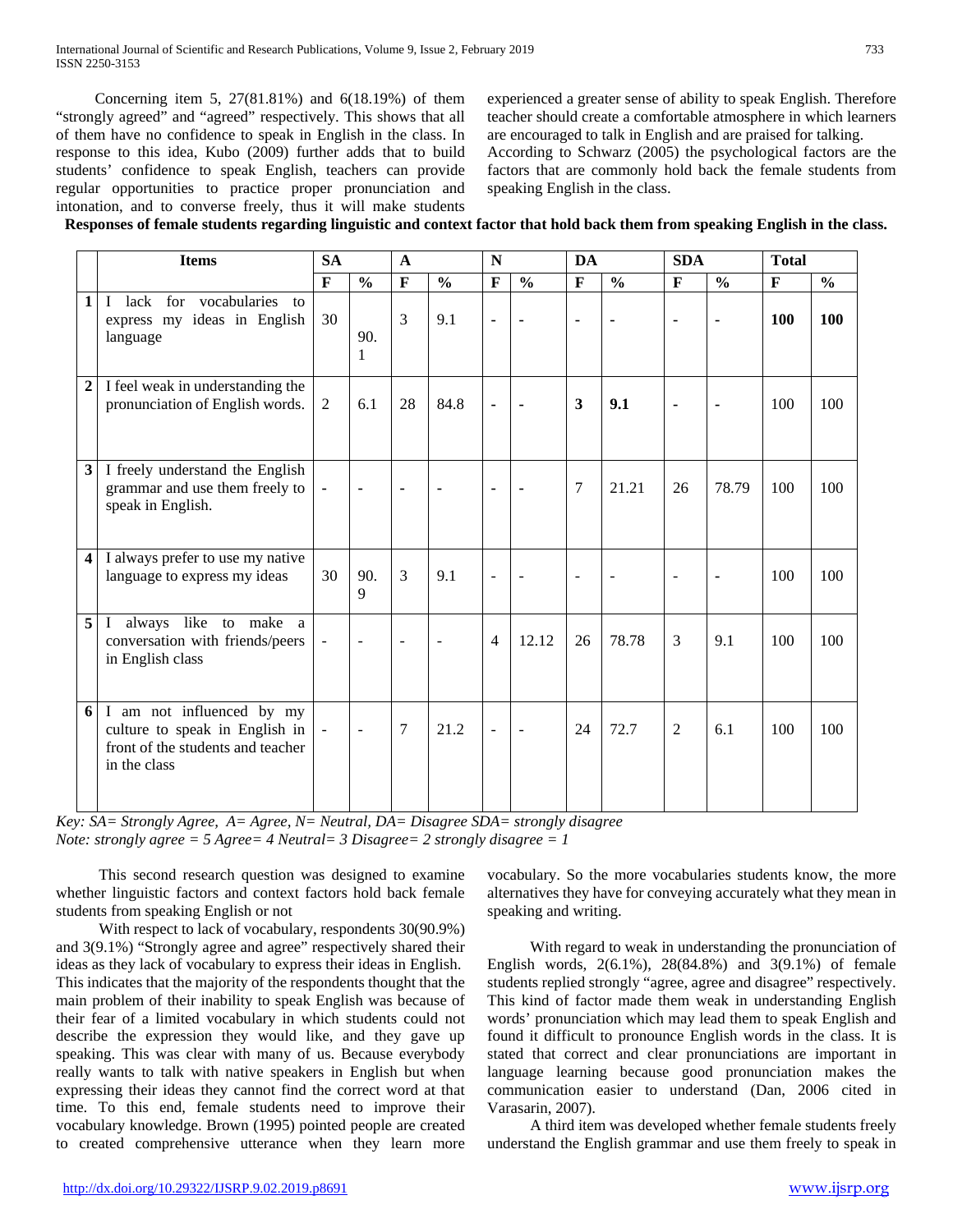Concerning item 5, 27(81.81%) and 6(18.19%) of them "strongly agreed" and "agreed" respectively. This shows that all of them have no confidence to speak in English in the class. In response to this idea, Kubo (2009) further adds that to build students' confidence to speak English, teachers can provide regular opportunities to practice proper pronunciation and intonation, and to converse freely, thus it will make students

experienced a greater sense of ability to speak English. Therefore teacher should create a comfortable atmosphere in which learners are encouraged to talk in English and are praised for talking. According to Schwarz (2005) the psychological factors are the factors that are commonly hold back the female students from speaking English in the class.

| <b>Items</b>                                                                                                          | <b>SA</b>                |                | $\mathbf{A}$   |               | N                        |                | <b>DA</b>    |                | <b>SDA</b>     |               | <b>Total</b> |               |
|-----------------------------------------------------------------------------------------------------------------------|--------------------------|----------------|----------------|---------------|--------------------------|----------------|--------------|----------------|----------------|---------------|--------------|---------------|
|                                                                                                                       | $\mathbf{F}$             | $\frac{0}{0}$  | $\mathbf F$    | $\frac{0}{0}$ | $\mathbf{F}$             | $\frac{0}{0}$  | $\mathbf{F}$ | $\frac{0}{0}$  | $\mathbf{F}$   | $\frac{0}{0}$ | $\mathbf{F}$ | $\frac{0}{0}$ |
| lack for vocabularies to<br>1<br>$\mathbf{I}$<br>express my ideas in English<br>language                              | 30                       | 90.<br>1       | $\mathcal{E}$  | 9.1           | L,                       |                | ÷,           |                | $\blacksquare$ | ä,            | 100          | 100           |
| I feel weak in understanding the<br>$\mathbf{2}$<br>pronunciation of English words.                                   | $\overline{2}$           | 6.1            | 28             | 84.8          | ÷,                       |                | 3            | 9.1            | ٠              |               | 100          | 100           |
| 3<br>I freely understand the English<br>grammar and use them freely to<br>speak in English.                           | $\blacksquare$           | $\blacksquare$ | ۰              |               | ٠                        |                | $\tau$       | 21.21          | 26             | 78.79         | 100          | 100           |
| I always prefer to use my native<br>4<br>language to express my ideas                                                 | 30                       | 90.<br>9       | 3              | 9.1           | $\overline{a}$           | $\sim$         | L,           | $\overline{a}$ | $\sim$         | ä,            | 100          | 100           |
| 5<br>always like to make a<br>$\mathbf I$<br>conversation with friends/peers<br>in English class                      | $\overline{\phantom{a}}$ | $\blacksquare$ | $\blacksquare$ | $\sim$        | $\overline{4}$           | 12.12          | 26           | 78.78          | $\overline{3}$ | 9.1           | 100          | 100           |
| I am not influenced by my<br>6<br>culture to speak in English in<br>front of the students and teacher<br>in the class | $\blacksquare$           | $\blacksquare$ | $\overline{7}$ | 21.2          | $\overline{\phantom{a}}$ | $\blacksquare$ | 24           | 72.7           | $\overline{2}$ | 6.1           | 100          | 100           |

*Key: SA= Strongly Agree, A= Agree, N= Neutral, DA= Disagree SDA= strongly disagree Note: strongly agree = 5 Agree= 4 Neutral= 3 Disagree= 2 strongly disagree = 1*

 This second research question was designed to examine whether linguistic factors and context factors hold back female students from speaking English or not

 With respect to lack of vocabulary, respondents 30(90.9%) and 3(9.1%) "Strongly agree and agree" respectively shared their ideas as they lack of vocabulary to express their ideas in English. This indicates that the majority of the respondents thought that the main problem of their inability to speak English was because of their fear of a limited vocabulary in which students could not describe the expression they would like, and they gave up speaking. This was clear with many of us. Because everybody really wants to talk with native speakers in English but when expressing their ideas they cannot find the correct word at that time. To this end, female students need to improve their vocabulary knowledge. Brown (1995) pointed people are created to created comprehensive utterance when they learn more vocabulary. So the more vocabularies students know, the more alternatives they have for conveying accurately what they mean in speaking and writing.

 With regard to weak in understanding the pronunciation of English words, 2(6.1%), 28(84.8%) and 3(9.1%) of female students replied strongly "agree, agree and disagree" respectively. This kind of factor made them weak in understanding English words' pronunciation which may lead them to speak English and found it difficult to pronounce English words in the class. It is stated that correct and clear pronunciations are important in language learning because good pronunciation makes the communication easier to understand (Dan, 2006 cited in Varasarin, 2007).

 A third item was developed whether female students freely understand the English grammar and use them freely to speak in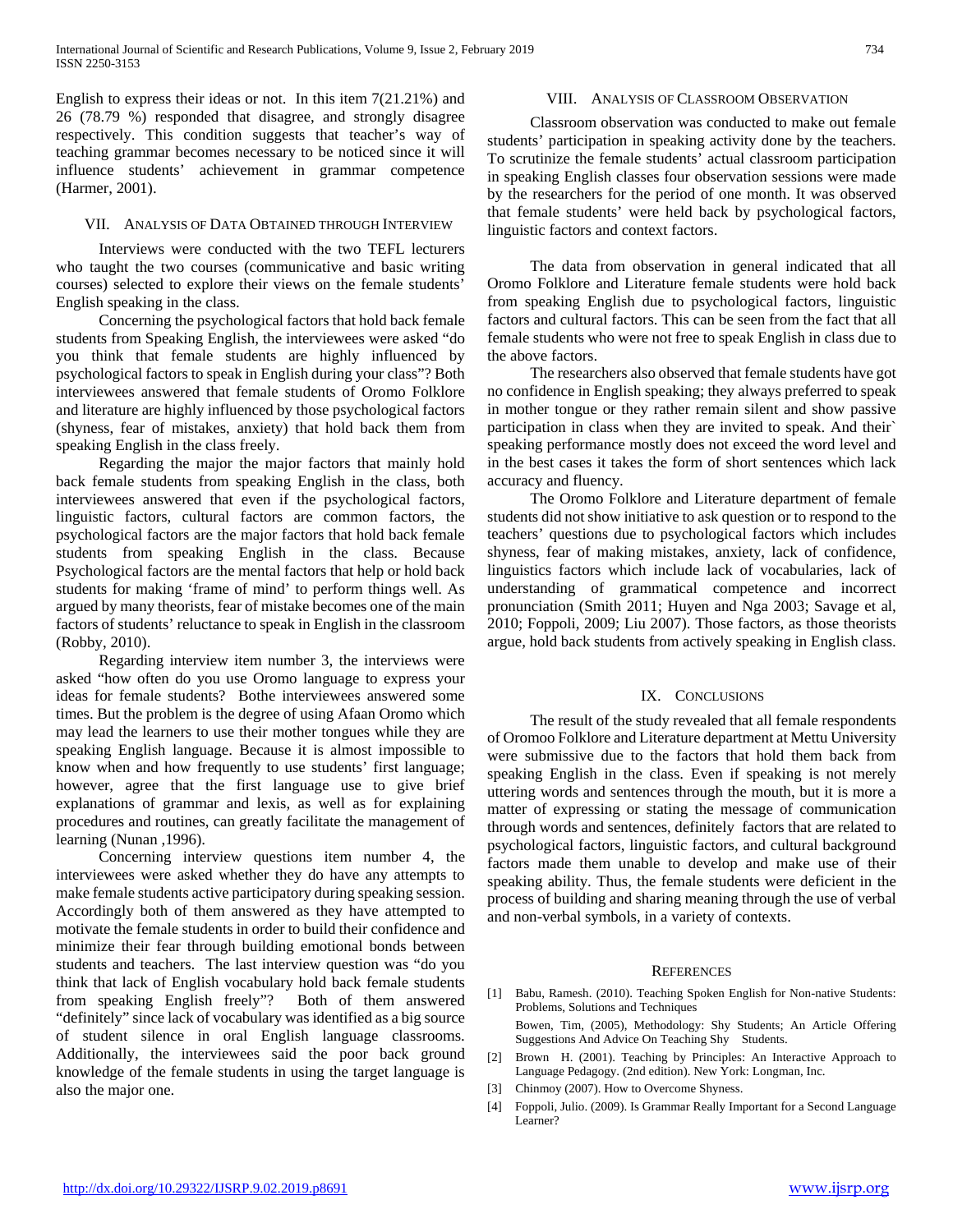English to express their ideas or not. In this item 7(21.21%) and 26 (78.79 %) responded that disagree, and strongly disagree respectively. This condition suggests that teacher's way of teaching grammar becomes necessary to be noticed since it will influence students' achievement in grammar competence (Harmer, 2001).

#### VII. ANALYSIS OF DATA OBTAINED THROUGH INTERVIEW

 Interviews were conducted with the two TEFL lecturers who taught the two courses (communicative and basic writing courses) selected to explore their views on the female students' English speaking in the class.

 Concerning the psychological factors that hold back female students from Speaking English, the interviewees were asked "do you think that female students are highly influenced by psychological factors to speak in English during your class"? Both interviewees answered that female students of Oromo Folklore and literature are highly influenced by those psychological factors (shyness, fear of mistakes, anxiety) that hold back them from speaking English in the class freely.

 Regarding the major the major factors that mainly hold back female students from speaking English in the class, both interviewees answered that even if the psychological factors, linguistic factors, cultural factors are common factors, the psychological factors are the major factors that hold back female students from speaking English in the class. Because Psychological factors are the mental factors that help or hold back students for making 'frame of mind' to perform things well. As argued by many theorists, fear of mistake becomes one of the main factors of students' reluctance to speak in English in the classroom (Robby, 2010).

 Regarding interview item number 3, the interviews were asked "how often do you use Oromo language to express your ideas for female students? Bothe interviewees answered some times. But the problem is the degree of using Afaan Oromo which may lead the learners to use their mother tongues while they are speaking English language. Because it is almost impossible to know when and how frequently to use students' first language; however, agree that the first language use to give brief explanations of grammar and lexis, as well as for explaining procedures and routines, can greatly facilitate the management of learning (Nunan ,1996).

 Concerning interview questions item number 4, the interviewees were asked whether they do have any attempts to make female students active participatory during speaking session. Accordingly both of them answered as they have attempted to motivate the female students in order to build their confidence and minimize their fear through building emotional bonds between students and teachers. The last interview question was "do you think that lack of English vocabulary hold back female students from speaking English freely"? Both of them answered "definitely" since lack of vocabulary was identified as a big source of student silence in oral English language classrooms. Additionally, the interviewees said the poor back ground knowledge of the female students in using the target language is also the major one.

# VIII. ANALYSIS OF CLASSROOM OBSERVATION

 Classroom observation was conducted to make out female students' participation in speaking activity done by the teachers. To scrutinize the female students' actual classroom participation in speaking English classes four observation sessions were made by the researchers for the period of one month. It was observed that female students' were held back by psychological factors, linguistic factors and context factors.

 The data from observation in general indicated that all Oromo Folklore and Literature female students were hold back from speaking English due to psychological factors, linguistic factors and cultural factors. This can be seen from the fact that all female students who were not free to speak English in class due to the above factors.

 The researchers also observed that female students have got no confidence in English speaking; they always preferred to speak in mother tongue or they rather remain silent and show passive participation in class when they are invited to speak. And their` speaking performance mostly does not exceed the word level and in the best cases it takes the form of short sentences which lack accuracy and fluency.

 The Oromo Folklore and Literature department of female students did not show initiative to ask question or to respond to the teachers' questions due to psychological factors which includes shyness, fear of making mistakes, anxiety, lack of confidence, linguistics factors which include lack of vocabularies, lack of understanding of grammatical competence and incorrect pronunciation (Smith 2011; Huyen and Nga 2003; Savage et al, 2010; Foppoli, 2009; Liu 2007). Those factors, as those theorists argue, hold back students from actively speaking in English class.

# IX. CONCLUSIONS

 The result of the study revealed that all female respondents of Oromoo Folklore and Literature department at Mettu University were submissive due to the factors that hold them back from speaking English in the class. Even if speaking is not merely uttering words and sentences through the mouth, but it is more a matter of expressing or stating the message of communication through words and sentences, definitely factors that are related to psychological factors, linguistic factors, and cultural background factors made them unable to develop and make use of their speaking ability. Thus, the female students were deficient in the process of building and sharing meaning through the use of verbal and non-verbal symbols, in a variety of contexts.

#### **REFERENCES**

- [1] Babu, Ramesh. (2010). Teaching Spoken English for Non-native Students: Problems, Solutions and Techniques Bowen, Tim, (2005), Methodology: Shy Students; An Article Offering Suggestions And Advice On Teaching Shy Students.
- [2] Brown H. (2001). Teaching by Principles: An Interactive Approach to Language Pedagogy. (2nd edition). New York: Longman, Inc.
- [3] Chinmoy (2007). How to Overcome Shyness.
- [4] Foppoli, Julio. (2009). Is Grammar Really Important for a Second Language Learner?